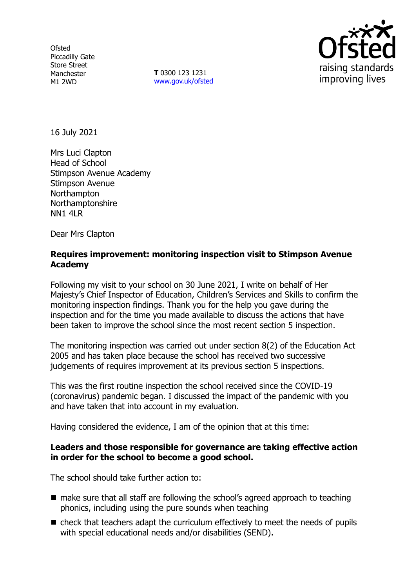**Ofsted** Piccadilly Gate Store Street Manchester M1 2WD

**T** 0300 123 1231 [www.gov.uk/ofsted](http://www.gov.uk/ofsted)



16 July 2021

Mrs Luci Clapton Head of School Stimpson Avenue Academy Stimpson Avenue **Northampton** Northamptonshire NN1 4LR

Dear Mrs Clapton

### **Requires improvement: monitoring inspection visit to Stimpson Avenue Academy**

Following my visit to your school on 30 June 2021, I write on behalf of Her Majesty's Chief Inspector of Education, Children's Services and Skills to confirm the monitoring inspection findings. Thank you for the help you gave during the inspection and for the time you made available to discuss the actions that have been taken to improve the school since the most recent section 5 inspection.

The monitoring inspection was carried out under section 8(2) of the Education Act 2005 and has taken place because the school has received two successive judgements of requires improvement at its previous section 5 inspections.

This was the first routine inspection the school received since the COVID-19 (coronavirus) pandemic began. I discussed the impact of the pandemic with you and have taken that into account in my evaluation.

Having considered the evidence, I am of the opinion that at this time:

### **Leaders and those responsible for governance are taking effective action in order for the school to become a good school.**

The school should take further action to:

- make sure that all staff are following the school's agreed approach to teaching phonics, including using the pure sounds when teaching
- $\blacksquare$  check that teachers adapt the curriculum effectively to meet the needs of pupils with special educational needs and/or disabilities (SEND).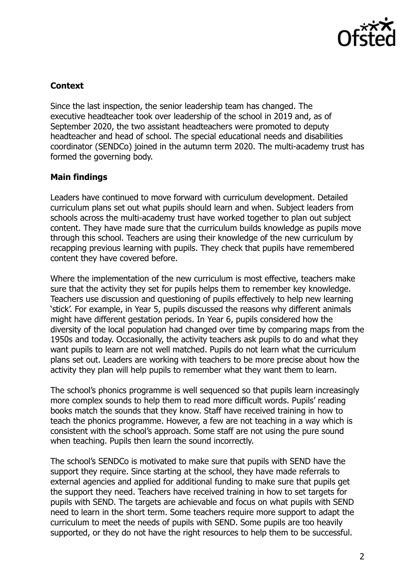

### **Context**

Since the last inspection, the senior leadership team has changed. The executive headteacher took over leadership of the school in 2019 and, as of September 2020, the two assistant headteachers were promoted to deputy headteacher and head of school. The special educational needs and disabilities coordinator (SENDCo) joined in the autumn term 2020. The multi-academy trust has formed the governing body.

# **Main findings**

Leaders have continued to move forward with curriculum development. Detailed curriculum plans set out what pupils should learn and when. Subject leaders from schools across the multi-academy trust have worked together to plan out subject content. They have made sure that the curriculum builds knowledge as pupils move through this school. Teachers are using their knowledge of the new curriculum by recapping previous learning with pupils. They check that pupils have remembered content they have covered before.

Where the implementation of the new curriculum is most effective, teachers make sure that the activity they set for pupils helps them to remember key knowledge. Teachers use discussion and questioning of pupils effectively to help new learning 'stick'. For example, in Year 5, pupils discussed the reasons why different animals might have different gestation periods. In Year 6, pupils considered how the diversity of the local population had changed over time by comparing maps from the 1950s and today. Occasionally, the activity teachers ask pupils to do and what they want pupils to learn are not well matched. Pupils do not learn what the curriculum plans set out. Leaders are working with teachers to be more precise about how the activity they plan will help pupils to remember what they want them to learn.

The school's phonics programme is well sequenced so that pupils learn increasingly more complex sounds to help them to read more difficult words. Pupils' reading books match the sounds that they know. Staff have received training in how to teach the phonics programme. However, a few are not teaching in a way which is consistent with the school's approach. Some staff are not using the pure sound when teaching. Pupils then learn the sound incorrectly.

The school's SENDCo is motivated to make sure that pupils with SEND have the support they require. Since starting at the school, they have made referrals to external agencies and applied for additional funding to make sure that pupils get the support they need. Teachers have received training in how to set targets for pupils with SEND. The targets are achievable and focus on what pupils with SEND need to learn in the short term. Some teachers require more support to adapt the curriculum to meet the needs of pupils with SEND. Some pupils are too heavily supported, or they do not have the right resources to help them to be successful.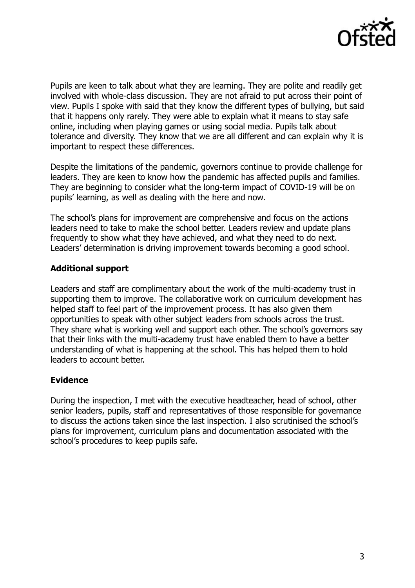

Pupils are keen to talk about what they are learning. They are polite and readily get involved with whole-class discussion. They are not afraid to put across their point of view. Pupils I spoke with said that they know the different types of bullying, but said that it happens only rarely. They were able to explain what it means to stay safe online, including when playing games or using social media. Pupils talk about tolerance and diversity. They know that we are all different and can explain why it is important to respect these differences.

Despite the limitations of the pandemic, governors continue to provide challenge for leaders. They are keen to know how the pandemic has affected pupils and families. They are beginning to consider what the long-term impact of COVID-19 will be on pupils' learning, as well as dealing with the here and now.

The school's plans for improvement are comprehensive and focus on the actions leaders need to take to make the school better. Leaders review and update plans frequently to show what they have achieved, and what they need to do next. Leaders' determination is driving improvement towards becoming a good school.

# **Additional support**

Leaders and staff are complimentary about the work of the multi-academy trust in supporting them to improve. The collaborative work on curriculum development has helped staff to feel part of the improvement process. It has also given them opportunities to speak with other subject leaders from schools across the trust. They share what is working well and support each other. The school's governors say that their links with the multi-academy trust have enabled them to have a better understanding of what is happening at the school. This has helped them to hold leaders to account better.

### **Evidence**

During the inspection, I met with the executive headteacher, head of school, other senior leaders, pupils, staff and representatives of those responsible for governance to discuss the actions taken since the last inspection. I also scrutinised the school's plans for improvement, curriculum plans and documentation associated with the school's procedures to keep pupils safe.